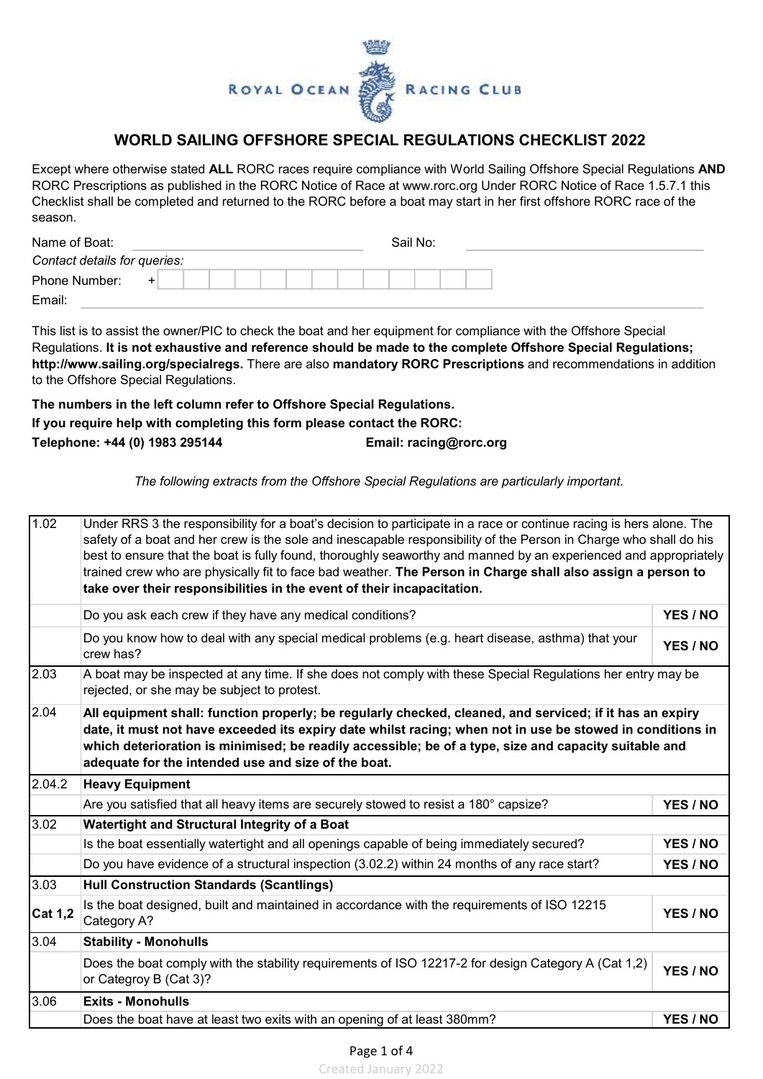

## WORLD SAILING OFFSHORE SPECIAL REGULATIONS CHECKLIST 2022

Except where otherwise stated ALL RORC races require compliance with World Sailing Offshore Special Regulations AND RORC Prescriptions as published in the RORC Notice of Race at www.rorc.org Under RORC Notice of Race 1.5.7.1 this Checklist shall be completed and returned to the RORC before a boat may start in her first offshore RORC race of the season.

| Name of Boat:                |  |  |  |  |  | Sail No: |  |  |
|------------------------------|--|--|--|--|--|----------|--|--|
| Contact details for queries: |  |  |  |  |  |          |  |  |
| Phone Number:                |  |  |  |  |  |          |  |  |
| Email:                       |  |  |  |  |  |          |  |  |

This list is to assist the owner/PIC to check the boat and her equipment for compliance with the Offshore Special Regulations. It is not exhaustive and reference should be made to the complete Offshore Special Regulations; http://www.sailing.org/specialregs. There are also mandatory RORC Prescriptions and recommendations in addition to the Offshore Special Regulations.

## The numbers in the left column refer to Offshore Special Regulations. If you require help with completing this form please contact the RORC: Telephone: +44 (0) 1983 295144 **Email: racing@rorc.org**

The following extracts from the Offshore Special Regulations are particularly important.

| 1.02           | Under RRS 3 the responsibility for a boat's decision to participate in a race or continue racing is hers alone. The<br>safety of a boat and her crew is the sole and inescapable responsibility of the Person in Charge who shall do his<br>best to ensure that the boat is fully found, thoroughly seaworthy and manned by an experienced and appropriately<br>trained crew who are physically fit to face bad weather. The Person in Charge shall also assign a person to<br>take over their responsibilities in the event of their incapacitation. |          |  |  |  |  |  |  |  |
|----------------|-------------------------------------------------------------------------------------------------------------------------------------------------------------------------------------------------------------------------------------------------------------------------------------------------------------------------------------------------------------------------------------------------------------------------------------------------------------------------------------------------------------------------------------------------------|----------|--|--|--|--|--|--|--|
|                | Do you ask each crew if they have any medical conditions?                                                                                                                                                                                                                                                                                                                                                                                                                                                                                             | YES / NO |  |  |  |  |  |  |  |
|                | Do you know how to deal with any special medical problems (e.g. heart disease, asthma) that your<br>crew has?                                                                                                                                                                                                                                                                                                                                                                                                                                         | YES / NO |  |  |  |  |  |  |  |
| 2.03           | A boat may be inspected at any time. If she does not comply with these Special Regulations her entry may be<br>rejected, or she may be subject to protest.                                                                                                                                                                                                                                                                                                                                                                                            |          |  |  |  |  |  |  |  |
| 2.04           | All equipment shall: function properly; be regularly checked, cleaned, and serviced; if it has an expiry<br>date, it must not have exceeded its expiry date whilst racing; when not in use be stowed in conditions in<br>which deterioration is minimised; be readily accessible; be of a type, size and capacity suitable and<br>adequate for the intended use and size of the boat.                                                                                                                                                                 |          |  |  |  |  |  |  |  |
| 2.04.2         | <b>Heavy Equipment</b>                                                                                                                                                                                                                                                                                                                                                                                                                                                                                                                                |          |  |  |  |  |  |  |  |
|                | Are you satisfied that all heavy items are securely stowed to resist a 180° capsize?                                                                                                                                                                                                                                                                                                                                                                                                                                                                  | YES / NO |  |  |  |  |  |  |  |
| 3.02           | Watertight and Structural Integrity of a Boat                                                                                                                                                                                                                                                                                                                                                                                                                                                                                                         |          |  |  |  |  |  |  |  |
|                | Is the boat essentially watertight and all openings capable of being immediately secured?                                                                                                                                                                                                                                                                                                                                                                                                                                                             | YES / NO |  |  |  |  |  |  |  |
|                | Do you have evidence of a structural inspection (3.02.2) within 24 months of any race start?                                                                                                                                                                                                                                                                                                                                                                                                                                                          | YES / NO |  |  |  |  |  |  |  |
| 3.03           | <b>Hull Construction Standards (Scantlings)</b>                                                                                                                                                                                                                                                                                                                                                                                                                                                                                                       |          |  |  |  |  |  |  |  |
| <b>Cat 1,2</b> | Is the boat designed, built and maintained in accordance with the requirements of ISO 12215<br>Category A?                                                                                                                                                                                                                                                                                                                                                                                                                                            | YES / NO |  |  |  |  |  |  |  |
| 3.04           | <b>Stability - Monohulls</b>                                                                                                                                                                                                                                                                                                                                                                                                                                                                                                                          |          |  |  |  |  |  |  |  |
|                | Does the boat comply with the stability requirements of ISO 12217-2 for design Category A (Cat 1,2)<br>or Categroy B (Cat 3)?                                                                                                                                                                                                                                                                                                                                                                                                                         | YES / NO |  |  |  |  |  |  |  |
| 3.06           | <b>Exits - Monohulls</b>                                                                                                                                                                                                                                                                                                                                                                                                                                                                                                                              |          |  |  |  |  |  |  |  |
|                | Does the boat have at least two exits with an opening of at least 380mm?                                                                                                                                                                                                                                                                                                                                                                                                                                                                              | YES / NO |  |  |  |  |  |  |  |

Created January 2022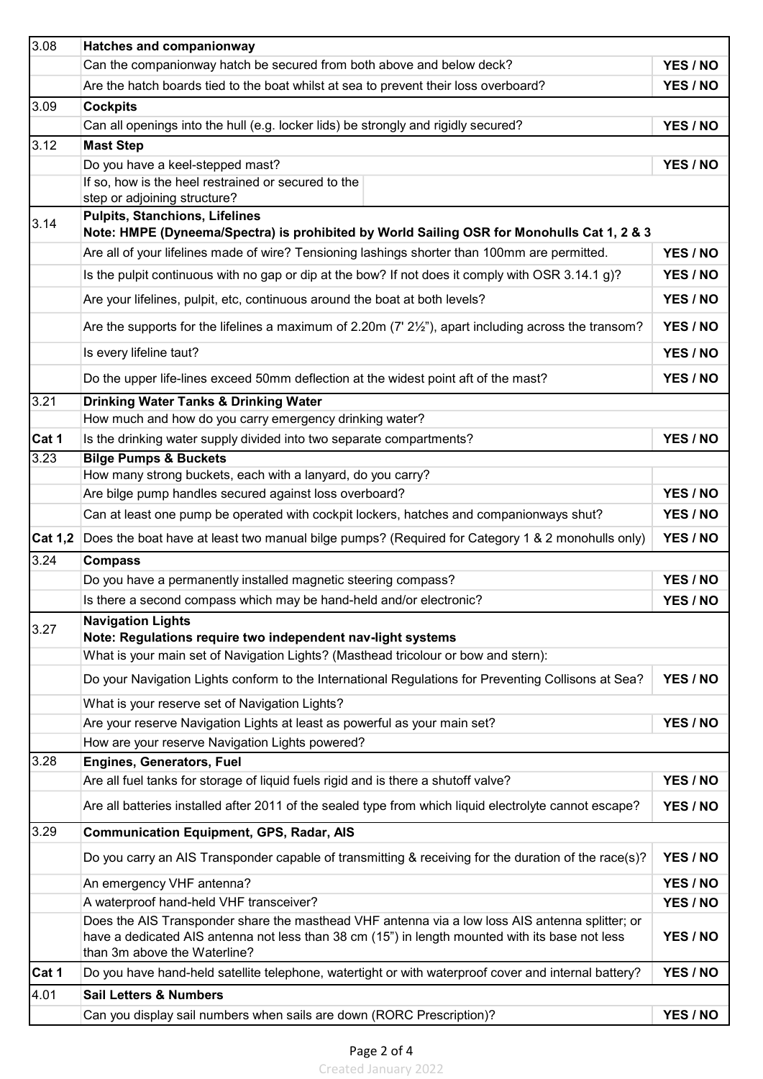| 3.08           | <b>Hatches and companionway</b>                                                                                                                                                                                                    |                      |  |  |  |  |  |  |
|----------------|------------------------------------------------------------------------------------------------------------------------------------------------------------------------------------------------------------------------------------|----------------------|--|--|--|--|--|--|
|                | Can the companionway hatch be secured from both above and below deck?                                                                                                                                                              | YES / NO             |  |  |  |  |  |  |
|                | Are the hatch boards tied to the boat whilst at sea to prevent their loss overboard?                                                                                                                                               | YES / NO             |  |  |  |  |  |  |
| 3.09           | <b>Cockpits</b>                                                                                                                                                                                                                    |                      |  |  |  |  |  |  |
|                | Can all openings into the hull (e.g. locker lids) be strongly and rigidly secured?                                                                                                                                                 | YES / NO             |  |  |  |  |  |  |
| 3.12           | <b>Mast Step</b>                                                                                                                                                                                                                   |                      |  |  |  |  |  |  |
|                | Do you have a keel-stepped mast?                                                                                                                                                                                                   | YES / NO             |  |  |  |  |  |  |
|                | If so, how is the heel restrained or secured to the                                                                                                                                                                                |                      |  |  |  |  |  |  |
|                | step or adjoining structure?                                                                                                                                                                                                       |                      |  |  |  |  |  |  |
| 3.14           | <b>Pulpits, Stanchions, Lifelines</b><br>Note: HMPE (Dyneema/Spectra) is prohibited by World Sailing OSR for Monohulls Cat 1, 2 & 3                                                                                                |                      |  |  |  |  |  |  |
|                | Are all of your lifelines made of wire? Tensioning lashings shorter than 100mm are permitted.                                                                                                                                      | YES / NO             |  |  |  |  |  |  |
|                | Is the pulpit continuous with no gap or dip at the bow? If not does it comply with OSR 3.14.1 g)?                                                                                                                                  | YES / NO             |  |  |  |  |  |  |
|                | Are your lifelines, pulpit, etc, continuous around the boat at both levels?                                                                                                                                                        | YES / NO             |  |  |  |  |  |  |
|                | Are the supports for the lifelines a maximum of 2.20m $(7' 2\frac{1}{2})$ , apart including across the transom?                                                                                                                    | YES / NO             |  |  |  |  |  |  |
|                | Is every lifeline taut?                                                                                                                                                                                                            | YES / NO             |  |  |  |  |  |  |
|                | Do the upper life-lines exceed 50mm deflection at the widest point aft of the mast?                                                                                                                                                | YES / NO             |  |  |  |  |  |  |
| 3.21           | <b>Drinking Water Tanks &amp; Drinking Water</b>                                                                                                                                                                                   |                      |  |  |  |  |  |  |
|                | How much and how do you carry emergency drinking water?                                                                                                                                                                            |                      |  |  |  |  |  |  |
| Cat 1          | Is the drinking water supply divided into two separate compartments?                                                                                                                                                               | YES / NO             |  |  |  |  |  |  |
| 3.23           | <b>Bilge Pumps &amp; Buckets</b>                                                                                                                                                                                                   |                      |  |  |  |  |  |  |
|                | How many strong buckets, each with a lanyard, do you carry?                                                                                                                                                                        |                      |  |  |  |  |  |  |
|                | Are bilge pump handles secured against loss overboard?                                                                                                                                                                             | YES / NO             |  |  |  |  |  |  |
|                | Can at least one pump be operated with cockpit lockers, hatches and companionways shut?                                                                                                                                            | YES / NO             |  |  |  |  |  |  |
| <b>Cat 1,2</b> | Does the boat have at least two manual bilge pumps? (Required for Category 1 & 2 monohulls only)                                                                                                                                   | YES / NO             |  |  |  |  |  |  |
| 3.24           | <b>Compass</b>                                                                                                                                                                                                                     |                      |  |  |  |  |  |  |
|                | Do you have a permanently installed magnetic steering compass?                                                                                                                                                                     | YES / NO             |  |  |  |  |  |  |
|                | Is there a second compass which may be hand-held and/or electronic?                                                                                                                                                                | YES / NO             |  |  |  |  |  |  |
| 3.27           | <b>Navigation Lights</b>                                                                                                                                                                                                           |                      |  |  |  |  |  |  |
|                | Note: Regulations require two independent nav-light systems<br>What is your main set of Navigation Lights? (Masthead tricolour or bow and stern):                                                                                  |                      |  |  |  |  |  |  |
|                |                                                                                                                                                                                                                                    |                      |  |  |  |  |  |  |
|                | Do your Navigation Lights conform to the International Regulations for Preventing Collisons at Sea?                                                                                                                                | YES / NO             |  |  |  |  |  |  |
|                | What is your reserve set of Navigation Lights?                                                                                                                                                                                     |                      |  |  |  |  |  |  |
|                | Are your reserve Navigation Lights at least as powerful as your main set?                                                                                                                                                          | YES / NO             |  |  |  |  |  |  |
|                | How are your reserve Navigation Lights powered?                                                                                                                                                                                    |                      |  |  |  |  |  |  |
| 3.28           | <b>Engines, Generators, Fuel</b>                                                                                                                                                                                                   |                      |  |  |  |  |  |  |
|                | Are all fuel tanks for storage of liquid fuels rigid and is there a shutoff valve?                                                                                                                                                 | YES / NO             |  |  |  |  |  |  |
|                | Are all batteries installed after 2011 of the sealed type from which liquid electrolyte cannot escape?                                                                                                                             | YES / NO             |  |  |  |  |  |  |
| 3.29           | <b>Communication Equipment, GPS, Radar, AIS</b>                                                                                                                                                                                    |                      |  |  |  |  |  |  |
|                | Do you carry an AIS Transponder capable of transmitting & receiving for the duration of the race(s)?                                                                                                                               | YES / NO             |  |  |  |  |  |  |
|                | An emergency VHF antenna?                                                                                                                                                                                                          | YES / NO<br>YES / NO |  |  |  |  |  |  |
|                | A waterproof hand-held VHF transceiver?                                                                                                                                                                                            |                      |  |  |  |  |  |  |
|                | Does the AIS Transponder share the masthead VHF antenna via a low loss AIS antenna splitter; or<br>have a dedicated AIS antenna not less than 38 cm (15") in length mounted with its base not less<br>than 3m above the Waterline? |                      |  |  |  |  |  |  |
| Cat 1          | Do you have hand-held satellite telephone, watertight or with waterproof cover and internal battery?                                                                                                                               | YES / NO             |  |  |  |  |  |  |
| 4.01           | <b>Sail Letters &amp; Numbers</b>                                                                                                                                                                                                  |                      |  |  |  |  |  |  |
|                | Can you display sail numbers when sails are down (RORC Prescription)?                                                                                                                                                              | YES / NO             |  |  |  |  |  |  |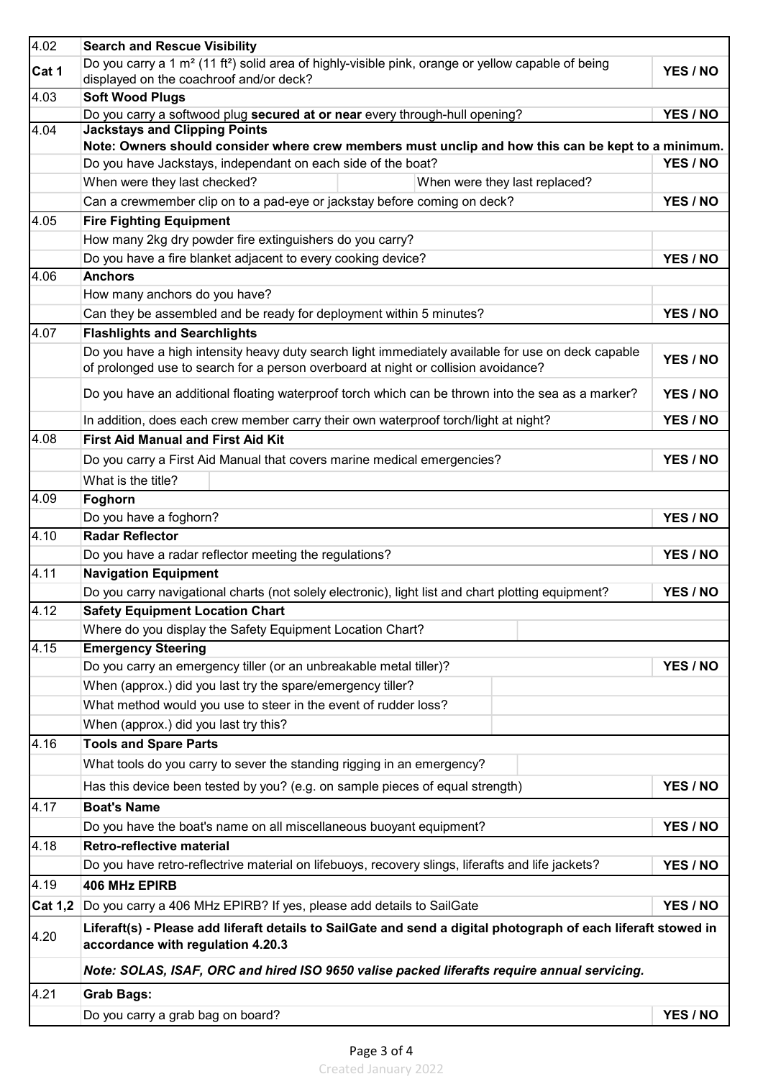| 4.02           | <b>Search and Rescue Visibility</b>                                                                                                                                   |          |  |  |  |  |  |  |
|----------------|-----------------------------------------------------------------------------------------------------------------------------------------------------------------------|----------|--|--|--|--|--|--|
| Cat 1          | Do you carry a 1 m <sup>2</sup> (11 ft <sup>2</sup> ) solid area of highly-visible pink, orange or yellow capable of being<br>displayed on the coachroof and/or deck? |          |  |  |  |  |  |  |
| 4.03           | <b>Soft Wood Plugs</b>                                                                                                                                                |          |  |  |  |  |  |  |
|                | Do you carry a softwood plug secured at or near every through-hull opening?<br>YES / NO                                                                               |          |  |  |  |  |  |  |
| 4.04           | <b>Jackstays and Clipping Points</b><br>Note: Owners should consider where crew members must unclip and how this can be kept to a minimum.                            |          |  |  |  |  |  |  |
|                | Do you have Jackstays, independant on each side of the boat?                                                                                                          | YES / NO |  |  |  |  |  |  |
|                | When were they last checked?<br>When were they last replaced?                                                                                                         |          |  |  |  |  |  |  |
|                | Can a crewmember clip on to a pad-eye or jackstay before coming on deck?                                                                                              | YES / NO |  |  |  |  |  |  |
| 4.05           | <b>Fire Fighting Equipment</b>                                                                                                                                        |          |  |  |  |  |  |  |
|                | How many 2kg dry powder fire extinguishers do you carry?                                                                                                              |          |  |  |  |  |  |  |
|                | Do you have a fire blanket adjacent to every cooking device?                                                                                                          | YES / NO |  |  |  |  |  |  |
| 4.06           | <b>Anchors</b>                                                                                                                                                        |          |  |  |  |  |  |  |
|                | How many anchors do you have?                                                                                                                                         |          |  |  |  |  |  |  |
|                | Can they be assembled and be ready for deployment within 5 minutes?                                                                                                   | YES / NO |  |  |  |  |  |  |
| 4.07           | <b>Flashlights and Searchlights</b>                                                                                                                                   |          |  |  |  |  |  |  |
|                | Do you have a high intensity heavy duty search light immediately available for use on deck capable                                                                    |          |  |  |  |  |  |  |
|                | of prolonged use to search for a person overboard at night or collision avoidance?                                                                                    | YES / NO |  |  |  |  |  |  |
|                | Do you have an additional floating waterproof torch which can be thrown into the sea as a marker?                                                                     | YES / NO |  |  |  |  |  |  |
|                | In addition, does each crew member carry their own waterproof torch/light at night?                                                                                   | YES / NO |  |  |  |  |  |  |
| 4.08           | <b>First Aid Manual and First Aid Kit</b>                                                                                                                             |          |  |  |  |  |  |  |
|                | Do you carry a First Aid Manual that covers marine medical emergencies?                                                                                               | YES / NO |  |  |  |  |  |  |
|                | What is the title?                                                                                                                                                    |          |  |  |  |  |  |  |
| 4.09           | Foghorn                                                                                                                                                               |          |  |  |  |  |  |  |
|                | Do you have a foghorn?                                                                                                                                                | YES / NO |  |  |  |  |  |  |
| 4.10           | <b>Radar Reflector</b>                                                                                                                                                |          |  |  |  |  |  |  |
|                | Do you have a radar reflector meeting the regulations?                                                                                                                | YES / NO |  |  |  |  |  |  |
| 4.11           | <b>Navigation Equipment</b>                                                                                                                                           |          |  |  |  |  |  |  |
|                | Do you carry navigational charts (not solely electronic), light list and chart plotting equipment?                                                                    | YES / NO |  |  |  |  |  |  |
| 4.12           | <b>Safety Equipment Location Chart</b>                                                                                                                                |          |  |  |  |  |  |  |
|                | Where do you display the Safety Equipment Location Chart?                                                                                                             |          |  |  |  |  |  |  |
| 4.15           | <b>Emergency Steering</b>                                                                                                                                             |          |  |  |  |  |  |  |
|                | Do you carry an emergency tiller (or an unbreakable metal tiller)?                                                                                                    | YES / NO |  |  |  |  |  |  |
|                | When (approx.) did you last try the spare/emergency tiller?                                                                                                           |          |  |  |  |  |  |  |
|                | What method would you use to steer in the event of rudder loss?                                                                                                       |          |  |  |  |  |  |  |
|                | When (approx.) did you last try this?                                                                                                                                 |          |  |  |  |  |  |  |
| 4.16           | <b>Tools and Spare Parts</b>                                                                                                                                          |          |  |  |  |  |  |  |
|                | What tools do you carry to sever the standing rigging in an emergency?                                                                                                |          |  |  |  |  |  |  |
|                | Has this device been tested by you? (e.g. on sample pieces of equal strength)                                                                                         | YES / NO |  |  |  |  |  |  |
| 4.17           | <b>Boat's Name</b>                                                                                                                                                    |          |  |  |  |  |  |  |
|                | Do you have the boat's name on all miscellaneous buoyant equipment?                                                                                                   | YES / NO |  |  |  |  |  |  |
| 4.18           | <b>Retro-reflective material</b>                                                                                                                                      |          |  |  |  |  |  |  |
|                | Do you have retro-reflectrive material on lifebuoys, recovery slings, liferafts and life jackets?                                                                     | YES / NO |  |  |  |  |  |  |
| 4.19           | <b>406 MHz EPIRB</b>                                                                                                                                                  |          |  |  |  |  |  |  |
| <b>Cat 1,2</b> | Do you carry a 406 MHz EPIRB? If yes, please add details to SailGate                                                                                                  | YES / NO |  |  |  |  |  |  |
| 4.20           | Liferaft(s) - Please add liferaft details to SailGate and send a digital photograph of each liferaft stowed in<br>accordance with regulation 4.20.3                   |          |  |  |  |  |  |  |
|                | Note: SOLAS, ISAF, ORC and hired ISO 9650 valise packed liferafts require annual servicing.                                                                           |          |  |  |  |  |  |  |
| 4.21           | <b>Grab Bags:</b>                                                                                                                                                     |          |  |  |  |  |  |  |
|                |                                                                                                                                                                       |          |  |  |  |  |  |  |